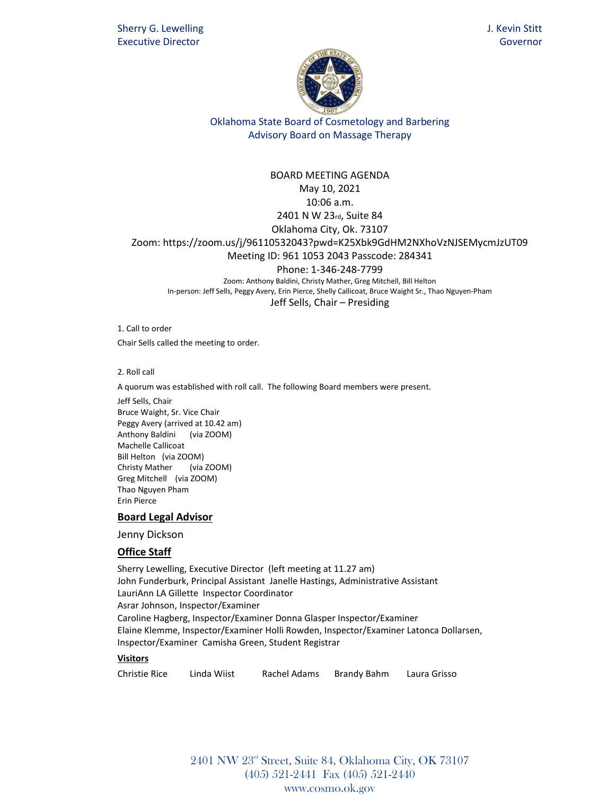

#### BOARD MEETING AGENDA

May 10, 2021

10:06 a.m.

# 2401 N W 23rd, Suite 84

Oklahoma City, Ok. 73107 Zoom: https://zoom.us/j/96110532043?pwd=K25Xbk9GdHM2NXhoVzNJSEMycmJzUT09

#### Meeting ID: 961 1053 2043 Passcode: 284341

Phone: 1-346-248-7799

Zoom: Anthony Baldini, Christy Mather, Greg Mitchell, Bill Helton In-person: Jeff Sells, Peggy Avery, Erin Pierce, Shelly Callicoat, Bruce Waight Sr., Thao Nguyen-Pham Jeff Sells, Chair – Presiding

1. Call to order Chair Sells called the meeting to order.

2. Roll call

A quorum was established with roll call. The following Board members were present.

Jeff Sells, Chair Bruce Waight, Sr. Vice Chair Peggy Avery (arrived at 10.42 am) Anthony Baldini (via ZOOM) Machelle Callicoat Bill Helton (via ZOOM) Christy Mather (via ZOOM) Greg Mitchell (via ZOOM) Thao Nguyen Pham Erin Pierce

#### **Board Legal Advisor**

Jenny Dickson

### **Office Staff**

Sherry Lewelling, Executive Director (left meeting at 11.27 am) John Funderburk, Principal Assistant Janelle Hastings, Administrative Assistant LauriAnn LA Gillette Inspector Coordinator Asrar Johnson, Inspector/Examiner Caroline Hagberg, Inspector/Examiner Donna Glasper Inspector/Examiner Elaine Klemme, Inspector/Examiner Holli Rowden, Inspector/Examiner Latonca Dollarsen, Inspector/Examiner Camisha Green, Student Registrar

#### **Visitors**

| <b>Christie Rice</b> | Linda Wiist | Rachel Adams | Brandy Bahm | Laura Grisso |
|----------------------|-------------|--------------|-------------|--------------|
|----------------------|-------------|--------------|-------------|--------------|

2401 NW 23rd Street, Suite 84, Oklahoma City, OK 73107 (405) 521-2441 Fax (405) 521-2440 www.cosmo.ok.gov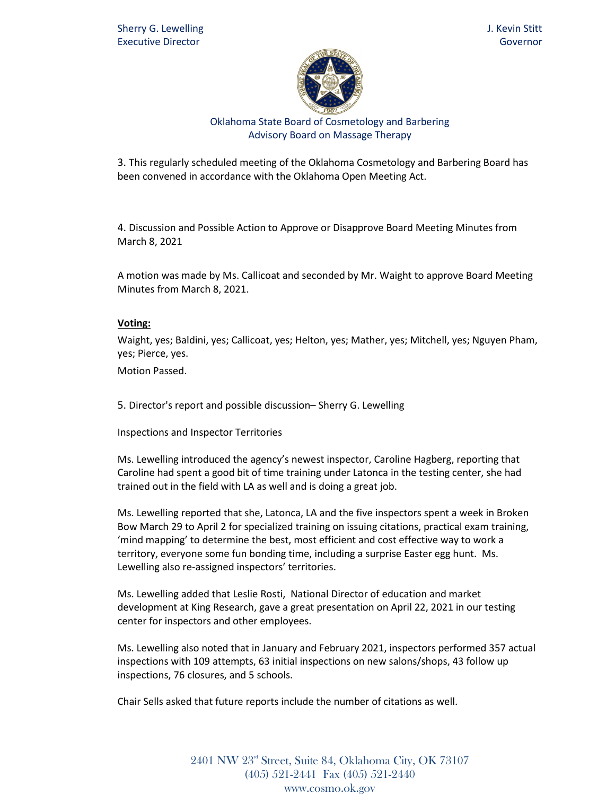

3. This regularly scheduled meeting of the Oklahoma Cosmetology and Barbering Board has been convened in accordance with the Oklahoma Open Meeting Act.

4. Discussion and Possible Action to Approve or Disapprove Board Meeting Minutes from March 8, 2021

A motion was made by Ms. Callicoat and seconded by Mr. Waight to approve Board Meeting Minutes from March 8, 2021.

### **Voting:**

Waight, yes; Baldini, yes; Callicoat, yes; Helton, yes; Mather, yes; Mitchell, yes; Nguyen Pham, yes; Pierce, yes.

Motion Passed.

5. Director's report and possible discussion– Sherry G. Lewelling

Inspections and Inspector Territories

Ms. Lewelling introduced the agency's newest inspector, Caroline Hagberg, reporting that Caroline had spent a good bit of time training under Latonca in the testing center, she had trained out in the field with LA as well and is doing a great job.

Ms. Lewelling reported that she, Latonca, LA and the five inspectors spent a week in Broken Bow March 29 to April 2 for specialized training on issuing citations, practical exam training, 'mind mapping' to determine the best, most efficient and cost effective way to work a territory, everyone some fun bonding time, including a surprise Easter egg hunt. Ms. Lewelling also re-assigned inspectors' territories.

Ms. Lewelling added that Leslie Rosti, National Director of education and market development at King Research, gave a great presentation on April 22, 2021 in our testing center for inspectors and other employees.

Ms. Lewelling also noted that in January and February 2021, inspectors performed 357 actual inspections with 109 attempts, 63 initial inspections on new salons/shops, 43 follow up inspections, 76 closures, and 5 schools.

Chair Sells asked that future reports include the number of citations as well.

2401 NW 23rd Street, Suite 84, Oklahoma City, OK 73107 (405) 521-2441 Fax (405) 521-2440 www.cosmo.ok.gov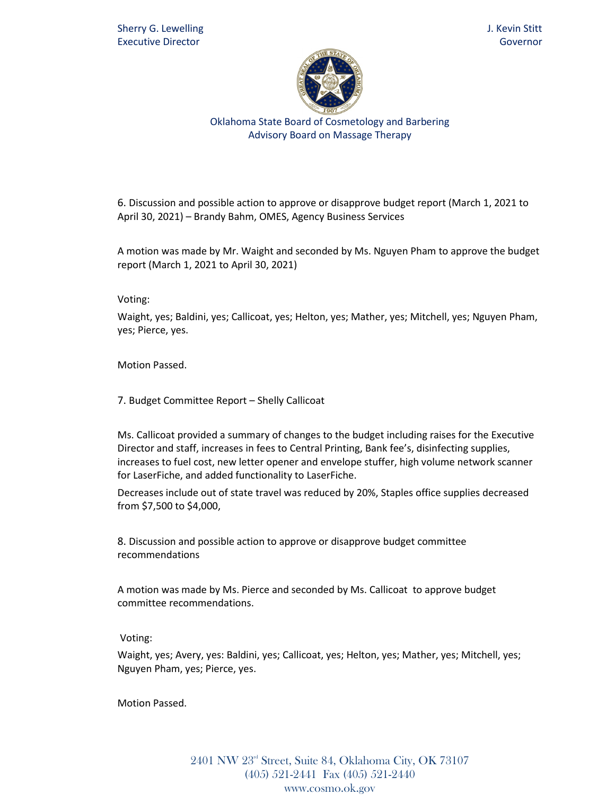

6. Discussion and possible action to approve or disapprove budget report (March 1, 2021 to April 30, 2021) – Brandy Bahm, OMES, Agency Business Services

A motion was made by Mr. Waight and seconded by Ms. Nguyen Pham to approve the budget report (March 1, 2021 to April 30, 2021)

Voting:

Waight, yes; Baldini, yes; Callicoat, yes; Helton, yes; Mather, yes; Mitchell, yes; Nguyen Pham, yes; Pierce, yes.

Motion Passed.

7. Budget Committee Report – Shelly Callicoat

Ms. Callicoat provided a summary of changes to the budget including raises for the Executive Director and staff, increases in fees to Central Printing, Bank fee's, disinfecting supplies, increases to fuel cost, new letter opener and envelope stuffer, high volume network scanner for LaserFiche, and added functionality to LaserFiche.

Decreases include out of state travel was reduced by 20%, Staples office supplies decreased from \$7,500 to \$4,000,

8. Discussion and possible action to approve or disapprove budget committee recommendations

A motion was made by Ms. Pierce and seconded by Ms. Callicoat to approve budget committee recommendations.

Voting:

Waight, yes; Avery, yes: Baldini, yes; Callicoat, yes; Helton, yes; Mather, yes; Mitchell, yes; Nguyen Pham, yes; Pierce, yes.

Motion Passed.

2401 NW 23rd Street, Suite 84, Oklahoma City, OK 73107 (405) 521-2441 Fax (405) 521-2440 www.cosmo.ok.gov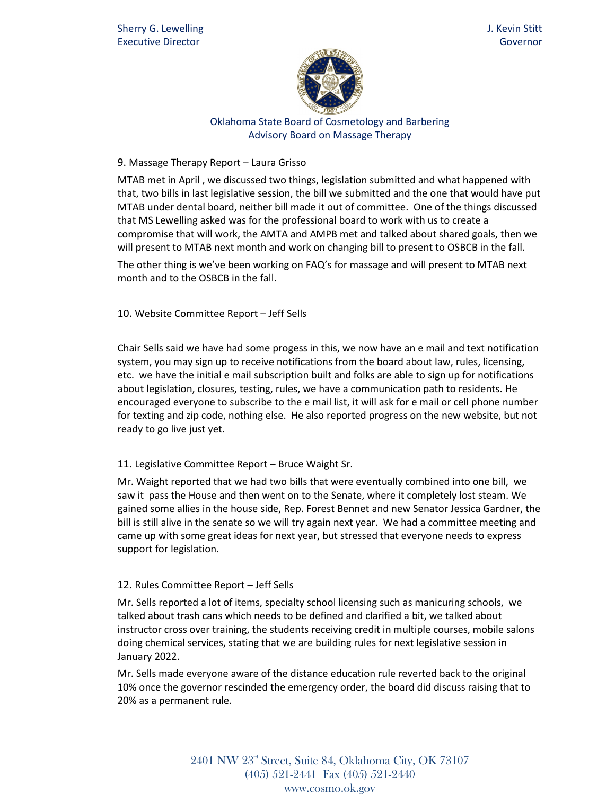

## 9. Massage Therapy Report – Laura Grisso

MTAB met in April , we discussed two things, legislation submitted and what happened with that, two bills in last legislative session, the bill we submitted and the one that would have put MTAB under dental board, neither bill made it out of committee. One of the things discussed that MS Lewelling asked was for the professional board to work with us to create a compromise that will work, the AMTA and AMPB met and talked about shared goals, then we will present to MTAB next month and work on changing bill to present to OSBCB in the fall.

The other thing is we've been working on FAQ's for massage and will present to MTAB next month and to the OSBCB in the fall.

## 10. Website Committee Report – Jeff Sells

Chair Sells said we have had some progess in this, we now have an e mail and text notification system, you may sign up to receive notifications from the board about law, rules, licensing, etc. we have the initial e mail subscription built and folks are able to sign up for notifications about legislation, closures, testing, rules, we have a communication path to residents. He encouraged everyone to subscribe to the e mail list, it will ask for e mail or cell phone number for texting and zip code, nothing else. He also reported progress on the new website, but not ready to go live just yet.

### 11. Legislative Committee Report – Bruce Waight Sr.

Mr. Waight reported that we had two bills that were eventually combined into one bill, we saw it pass the House and then went on to the Senate, where it completely lost steam. We gained some allies in the house side, Rep. Forest Bennet and new Senator Jessica Gardner, the bill is still alive in the senate so we will try again next year. We had a committee meeting and came up with some great ideas for next year, but stressed that everyone needs to express support for legislation.

## 12. Rules Committee Report – Jeff Sells

Mr. Sells reported a lot of items, specialty school licensing such as manicuring schools, we talked about trash cans which needs to be defined and clarified a bit, we talked about instructor cross over training, the students receiving credit in multiple courses, mobile salons doing chemical services, stating that we are building rules for next legislative session in January 2022.

Mr. Sells made everyone aware of the distance education rule reverted back to the original 10% once the governor rescinded the emergency order, the board did discuss raising that to 20% as a permanent rule.

> $2401$  NW  $23<sup>rd</sup>$  Street, Suite 84, Oklahoma City, OK 73107 (405) 521-2441 Fax (405) 521-2440 www.cosmo.ok.gov